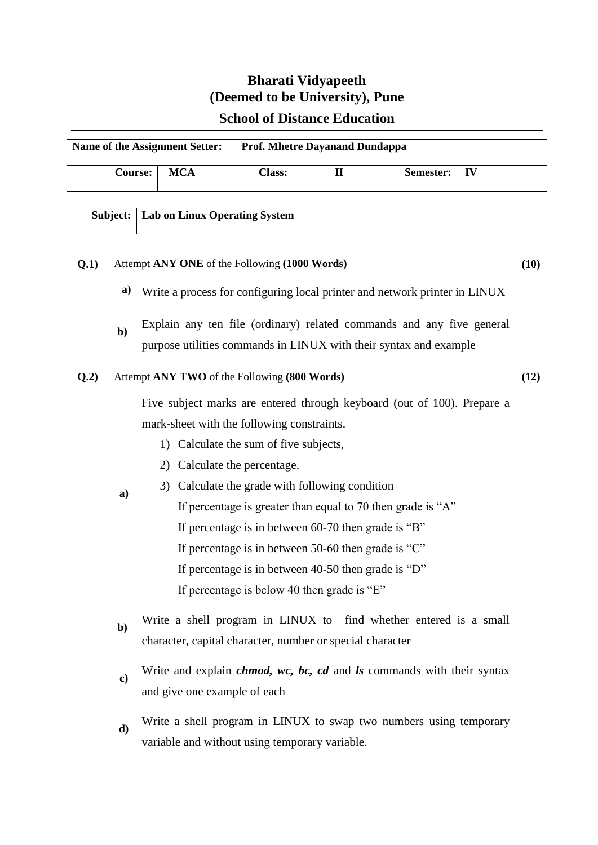# **Bharati Vidyapeeth (Deemed to be University), Pune**

## **School of Distance Education**

| Name of the Assignment Setter: |                               |            | <b>Prof. Mhetre Dayanand Dundappa</b> |   |           |    |
|--------------------------------|-------------------------------|------------|---------------------------------------|---|-----------|----|
| <b>Course:</b>                 |                               | <b>MCA</b> | <b>Class:</b>                         | П | Semester: | IV |
|                                |                               |            |                                       |   |           |    |
| Subject:                       | Lab on Linux Operating System |            |                                       |   |           |    |

## **Q.1)** Attempt **ANY ONE** of the Following **(1000 Words) (10)**

- **a)** Write a process for configuring local printer and network printer in LINUX
- **b**) Explain any ten file (ordinary) related commands and any five general purpose utilities commands in LINUX with their syntax and example

#### **Q.2)** Attempt **ANY TWO** of the Following **(800 Words) (12)**

 **a)**

Five subject marks are entered through keyboard (out of 100). Prepare a mark-sheet with the following constraints.

- 1) Calculate the sum of five subjects,
- 2) Calculate the percentage.

### 3) Calculate the grade with following condition

- If percentage is greater than equal to 70 then grade is "A" If percentage is in between 60-70 then grade is "B" If percentage is in between 50-60 then grade is "C"
	- If percentage is in between 40-50 then grade is "D"

If percentage is below 40 then grade is "E"

- **b**) Write a shell program in LINUX to find whether entered is a small character, capital character, number or special character
- **c)** Write and explain *chmod, wc, bc, cd* and *ls* commands with their syntax and give one example of each
- **d)** Write a shell program in LINUX to swap two numbers using temporary variable and without using temporary variable.